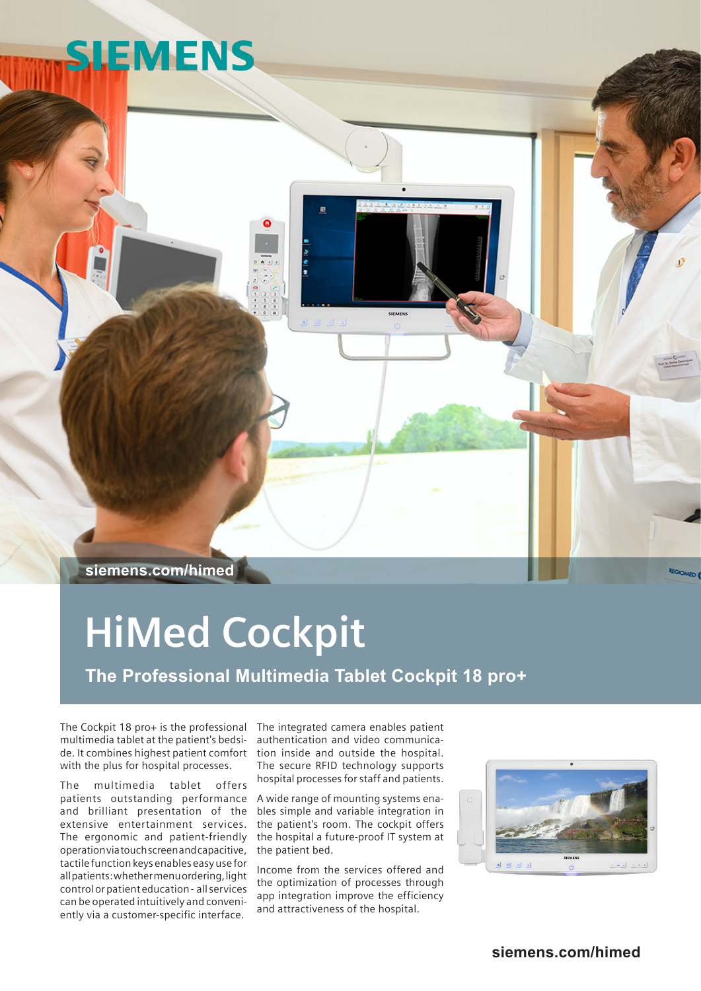# **SIEMENS**

**siemens.com/himed**

## **HiMed Cockpit**

**The Professional Multimedia Tablet Cockpit 18 pro+**

The Cockpit 18 pro+ is the professional The integrated camera enables patient multimedia tablet at the patient's bedside. It combines highest patient comfort with the plus for hospital processes.

The multimedia tablet offers patients outstanding performance and brilliant presentation of the extensive entertainment services. The ergonomic and patient-friendly operation via touch screen and capacitive, tactile function keys enables easy use for all patients: whether menu ordering, light control or patient education - all services can be operated intuitively and conveniently via a customer-specific interface.

authentication and video communication inside and outside the hospital. The secure RFID technology supports hospital processes for staff and patients.

A wide range of mounting systems enables simple and variable integration in the patient's room. The cockpit offers the hospital a future-proof IT system at the patient bed.

Income from the services offered and the optimization of processes through app integration improve the efficiency and attractiveness of the hospital.